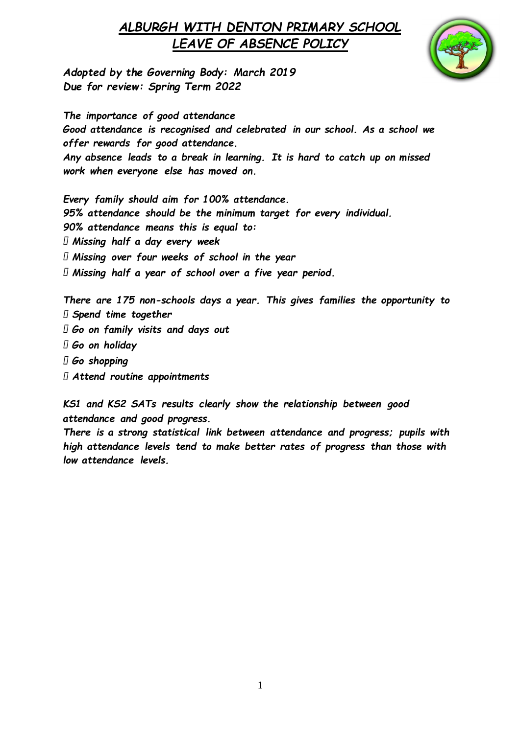

*Adopted by the Governing Body: March 2019 Due for review: Spring Term 2022*

*The importance of good attendance Good attendance is recognised and celebrated in our school. As a school we offer rewards for good attendance. Any absence leads to a break in learning. It is hard to catch up on missed work when everyone else has moved on.* 

*Every family should aim for 100% attendance. 95% attendance should be the minimum target for every individual. 90% attendance means this is equal to: Missing half a day every week Missing over four weeks of school in the year Missing half a year of school over a five year period.* 

*There are 175 non-schools days a year. This gives families the opportunity to Spend time together Go on family visits and days out Go on holiday Go shopping Attend routine appointments* 

*KS1 and KS2 SATs results clearly show the relationship between good attendance and good progress.* 

*There is a strong statistical link between attendance and progress; pupils with high attendance levels tend to make better rates of progress than those with low attendance levels.*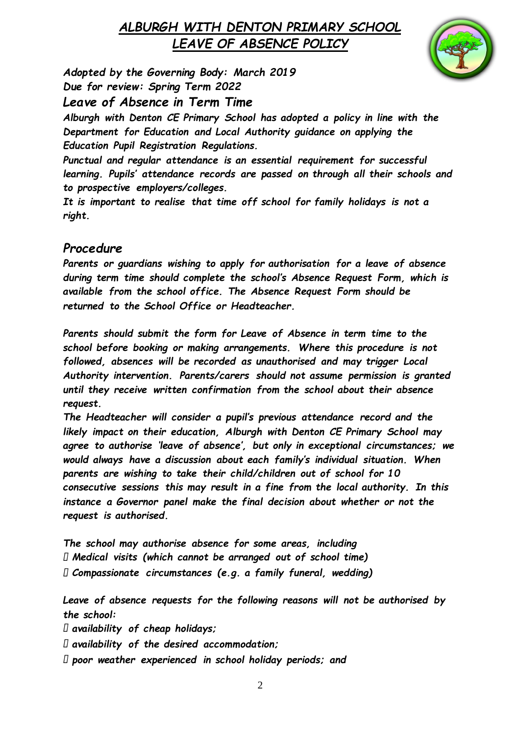

*Adopted by the Governing Body: March 2019 Due for review: Spring Term 2022*

#### *Leave of Absence in Term Time*

*Alburgh with Denton CE Primary School has adopted a policy in line with the Department for Education and Local Authority guidance on applying the Education Pupil Registration Regulations.* 

*Punctual and regular attendance is an essential requirement for successful learning. Pupils' attendance records are passed on through all their schools and to prospective employers/colleges.* 

*It is important to realise that time off school for family holidays is not a right.* 

#### *Procedure*

*Parents or guardians wishing to apply for authorisation for a leave of absence during term time should complete the school's Absence Request Form, which is available from the school office. The Absence Request Form should be returned to the School Office or Headteacher.* 

*Parents should submit the form for Leave of Absence in term time to the school before booking or making arrangements. Where this procedure is not followed, absences will be recorded as unauthorised and may trigger Local Authority intervention. Parents/carers should not assume permission is granted until they receive written confirmation from the school about their absence request.* 

*The Headteacher will consider a pupil's previous attendance record and the likely impact on their education, Alburgh with Denton CE Primary School may agree to authorise 'leave of absence', but only in exceptional circumstances; we would always have a discussion about each family's individual situation. When parents are wishing to take their child/children out of school for 10 consecutive sessions this may result in a fine from the local authority. In this instance a Governor panel make the final decision about whether or not the request is authorised.*

*The school may authorise absence for some areas, including Medical visits (which cannot be arranged out of school time) Compassionate circumstances (e.g. a family funeral, wedding)* 

*Leave of absence requests for the following reasons will not be authorised by the school:* 

*availability of cheap holidays;* 

- *availability of the desired accommodation;*
- *poor weather experienced in school holiday periods; and*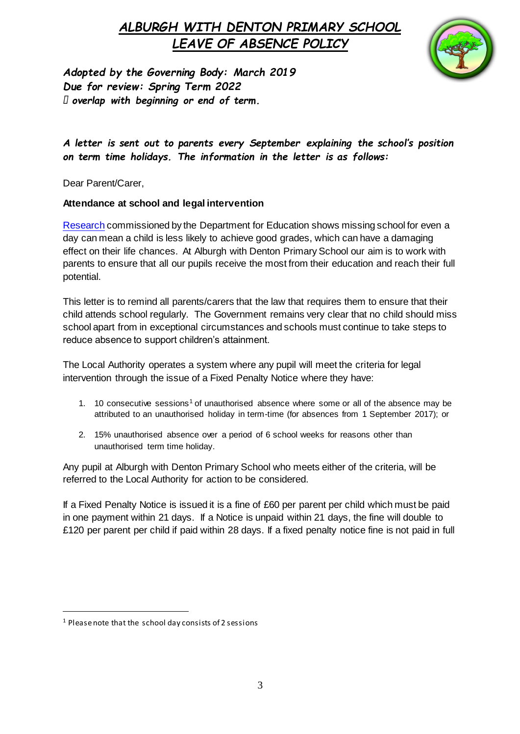

*Adopted by the Governing Body: March 2019 Due for review: Spring Term 2022 overlap with beginning or end of term.* 

*A letter is sent out to parents every September explaining the school's position on term time holidays. The information in the letter is as follows:*

Dear Parent/Carer,

#### **Attendance at school and legal intervention**

[Research](https://www.gov.uk/government/publications/absence-and-attainment-at-key-stages-2-and-4-2013-to-2014) commissioned by the Department for Education shows missing school for even a day can mean a child is less likely to achieve good grades, which can have a damaging effect on their life chances. At Alburgh with Denton Primary School our aim is to work with parents to ensure that all our pupils receive the most from their education and reach their full potential.

This letter is to remind all parents/carers that the law that requires them to ensure that their child attends school regularly. The Government remains very clear that no child should miss school apart from in exceptional circumstances and schools must continue to take steps to reduce absence to support children's attainment.

The Local Authority operates a system where any pupil will meet the criteria for legal intervention through the issue of a Fixed Penalty Notice where they have:

- 1. 10 consecutive sessions<sup>1</sup> of unauthorised absence where some or all of the absence may be attributed to an unauthorised holiday in term-time (for absences from 1 September 2017); or
- 2. 15% unauthorised absence over a period of 6 school weeks for reasons other than unauthorised term time holiday.

Any pupil at Alburgh with Denton Primary School who meets either of the criteria, will be referred to the Local Authority for action to be considered.

If a Fixed Penalty Notice is issued it is a fine of £60 per parent per child which must be paid in one payment within 21 days. If a Notice is unpaid within 21 days, the fine will double to £120 per parent per child if paid within 28 days. If a fixed penalty notice fine is not paid in full

 $\overline{a}$ 

<sup>1</sup> Please note that the school day consists of 2 sessions